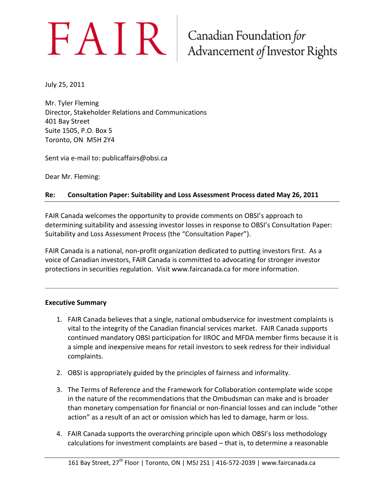# $FAIR$  Canadian Foundation for<br>Advancement of Investor Rights

July 25, 2011

Mr. Tyler Fleming Director, Stakeholder Relations and Communications 401 Bay Street Suite 1505, P.O. Box 5 Toronto, ON M5H 2Y4

Sent via e-mail to: publicaffairs@obsi.ca

Dear Mr. Fleming:

#### **Re: Consultation Paper: Suitability and Loss Assessment Process dated May 26, 2011**

FAIR Canada welcomes the opportunity to provide comments on OBSI's approach to determining suitability and assessing investor losses in response to OBSI's Consultation Paper: Suitability and Loss Assessment Process (the "Consultation Paper").

FAIR Canada is a national, non-profit organization dedicated to putting investors first. As a voice of Canadian investors, FAIR Canada is committed to advocating for stronger investor protections in securities regulation. Visit www.faircanada.ca for more information.

#### **Executive Summary**

- 1. FAIR Canada believes that a single, national ombudservice for investment complaints is vital to the integrity of the Canadian financial services market. FAIR Canada supports continued mandatory OBSI participation for IIROC and MFDA member firms because it is a simple and inexpensive means for retail investors to seek redress for their individual complaints.
- 2. OBSI is appropriately guided by the principles of fairness and informality.
- 3. The Terms of Reference and the Framework for Collaboration contemplate wide scope in the nature of the recommendations that the Ombudsman can make and is broader than monetary compensation for financial or non-financial losses and can include "other action" as a result of an act or omission which has led to damage, harm or loss.
- 4. FAIR Canada supports the overarching principle upon which OBSI's loss methodology calculations for investment complaints are based – that is, to determine a reasonable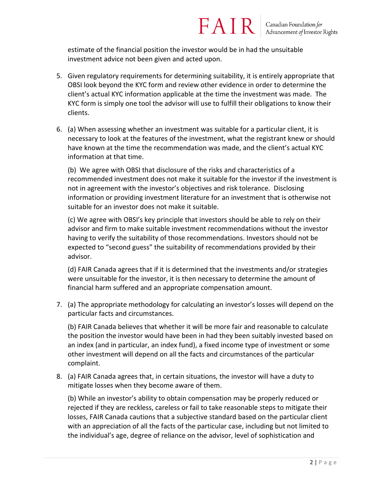estimate of the financial position the investor would be in had the unsuitable investment advice not been given and acted upon.

5. Given regulatory requirements for determining suitability, it is entirely appropriate that OBSI look beyond the KYC form and review other evidence in order to determine the client's actual KYC information applicable at the time the investment was made. The KYC form is simply one tool the advisor will use to fulfill their obligations to know their clients.

FAIR

6. (a) When assessing whether an investment was suitable for a particular client, it is necessary to look at the features of the investment, what the registrant knew or should have known at the time the recommendation was made, and the client's actual KYC information at that time.

(b) We agree with OBSI that disclosure of the risks and characteristics of a recommended investment does not make it suitable for the investor if the investment is not in agreement with the investor's objectives and risk tolerance. Disclosing information or providing investment literature for an investment that is otherwise not suitable for an investor does not make it suitable.

(c) We agree with OBSI's key principle that investors should be able to rely on their advisor and firm to make suitable investment recommendations without the investor having to verify the suitability of those recommendations. Investors should not be expected to "second guess" the suitability of recommendations provided by their advisor.

(d) FAIR Canada agrees that if it is determined that the investments and/or strategies were unsuitable for the investor, it is then necessary to determine the amount of financial harm suffered and an appropriate compensation amount.

7. (a) The appropriate methodology for calculating an investor's losses will depend on the particular facts and circumstances.

(b) FAIR Canada believes that whether it will be more fair and reasonable to calculate the position the investor would have been in had they been suitably invested based on an index (and in particular, an index fund), a fixed income type of investment or some other investment will depend on all the facts and circumstances of the particular complaint.

8. (a) FAIR Canada agrees that, in certain situations, the investor will have a duty to mitigate losses when they become aware of them.

(b) While an investor's ability to obtain compensation may be properly reduced or rejected if they are reckless, careless or fail to take reasonable steps to mitigate their losses, FAIR Canada cautions that a subjective standard based on the particular client with an appreciation of all the facts of the particular case, including but not limited to the individual's age, degree of reliance on the advisor, level of sophistication and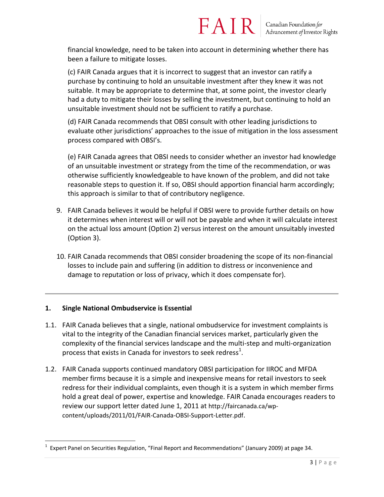financial knowledge, need to be taken into account in determining whether there has been a failure to mitigate losses.

FAIR

(c) FAIR Canada argues that it is incorrect to suggest that an investor can ratify a purchase by continuing to hold an unsuitable investment after they knew it was not suitable. It may be appropriate to determine that, at some point, the investor clearly had a duty to mitigate their losses by selling the investment, but continuing to hold an unsuitable investment should not be sufficient to ratify a purchase.

(d) FAIR Canada recommends that OBSI consult with other leading jurisdictions to evaluate other jurisdictions' approaches to the issue of mitigation in the loss assessment process compared with OBSI's.

(e) FAIR Canada agrees that OBSI needs to consider whether an investor had knowledge of an unsuitable investment or strategy from the time of the recommendation, or was otherwise sufficiently knowledgeable to have known of the problem, and did not take reasonable steps to question it. If so, OBSI should apportion financial harm accordingly; this approach is similar to that of contributory negligence.

- 9. FAIR Canada believes it would be helpful if OBSI were to provide further details on how it determines when interest will or will not be payable and when it will calculate interest on the actual loss amount (Option 2) versus interest on the amount unsuitably invested (Option 3).
- 10. FAIR Canada recommends that OBSI consider broadening the scope of its non-financial losses to include pain and suffering (in addition to distress or inconvenience and damage to reputation or loss of privacy, which it does compensate for).

#### **1. Single National Ombudservice is Essential**

 $\overline{\phantom{a}}$ 

- 1.1. FAIR Canada believes that a single, national ombudservice for investment complaints is vital to the integrity of the Canadian financial services market, particularly given the complexity of the financial services landscape and the multi-step and multi-organization process that exists in Canada for investors to seek redress $^1$ .
- 1.2. FAIR Canada supports continued mandatory OBSI participation for IIROC and MFDA member firms because it is a simple and inexpensive means for retail investors to seek redress for their individual complaints, even though it is a system in which member firms hold a great deal of power, expertise and knowledge. FAIR Canada encourages readers to review our support letter dated June 1, 2011 at http://faircanada.ca/wpcontent/uploads/2011/01/FAIR-Canada-OBSI-Support-Letter.pdf.

<sup>1</sup> Expert Panel on Securities Regulation, "Final Report and Recommendations" (January 2009) at page 34.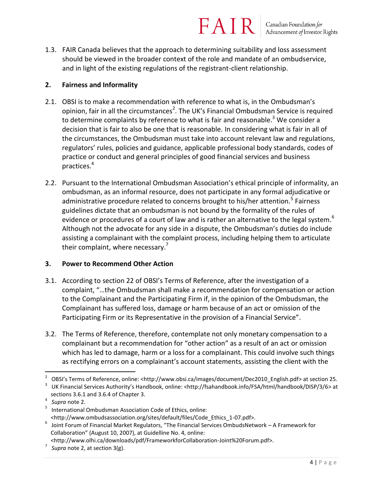1.3. FAIR Canada believes that the approach to determining suitability and loss assessment should be viewed in the broader context of the role and mandate of an ombudservice, and in light of the existing regulations of the registrant-client relationship.

#### **2. Fairness and Informality**

- 2.1. OBSI is to make a recommendation with reference to what is, in the Ombudsman's opinion, fair in all the circumstances<sup>2</sup>. The UK's Financial Ombudsman Service is required to determine complaints by reference to what is fair and reasonable.<sup>3</sup> We consider a decision that is fair to also be one that is reasonable. In considering what is fair in all of the circumstances, the Ombudsman must take into account relevant law and regulations, regulators' rules, policies and guidance, applicable professional body standards, codes of practice or conduct and general principles of good financial services and business practices. 4
- 2.2. Pursuant to the International Ombudsman Association's ethical principle of informality, an ombudsman, as an informal resource, does not participate in any formal adjudicative or administrative procedure related to concerns brought to his/her attention.<sup>5</sup> Fairness guidelines dictate that an ombudsman is not bound by the formality of the rules of evidence or procedures of a court of law and is rather an alternative to the legal system.<sup>6</sup> Although not the advocate for any side in a dispute, the Ombudsman's duties do include assisting a complainant with the complaint process, including helping them to articulate their complaint, where necessary. $<sup>7</sup>$ </sup>

#### **3. Power to Recommend Other Action**

- 3.1. According to section 22 of OBSI's Terms of Reference, after the investigation of a complaint, "…the Ombudsman shall make a recommendation for compensation or action to the Complainant and the Participating Firm if, in the opinion of the Ombudsman, the Complainant has suffered loss, damage or harm because of an act or omission of the Participating Firm or its Representative in the provision of a Financial Service".
- 3.2. The Terms of Reference, therefore, contemplate not only monetary compensation to a complainant but a recommendation for "other action" as a result of an act or omission which has led to damage, harm or a loss for a complainant. This could involve such things as rectifying errors on a complainant's account statements, assisting the client with the

 $\overline{\phantom{a}}$ 

<sup>2</sup> OBSI's Terms of Reference, online: <http://www.obsi.ca/images/document/Dec2010\_English.pdf> at section 25.

<sup>3</sup> UK Financial Services Authority's Handbook, online: <http://fsahandbook.info/FSA/html/handbook/DISP/3/6> at sections 3.6.1 and 3.6.4 of Chapter 3.

<sup>4</sup> *Supra* note 2.

<sup>5</sup> International Ombudsman Association Code of Ethics, online: <http://www.ombudsassociation.org/sites/default/files/Code\_Ethics\_1-07.pdf>.

<sup>6</sup> Joint Forum of Financial Market Regulators, "The Financial Services OmbudsNetwork – A Framework for Collaboration" (August 10, 2007), at Guidelline No. 4, online:

<sup>&</sup>lt;http://www.olhi.ca/downloads/pdf/FrameworkforCollaboration-Joint%20Forum.pdf>.

<sup>7</sup> *Supra* note 2, at section 3(g).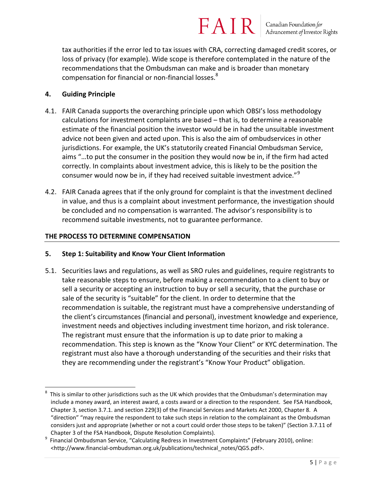tax authorities if the error led to tax issues with CRA, correcting damaged credit scores, or loss of privacy (for example). Wide scope is therefore contemplated in the nature of the recommendations that the Ombudsman can make and is broader than monetary compensation for financial or non-financial losses.<sup>8</sup>

#### **4. Guiding Principle**

 $\overline{\phantom{a}}$ 

- 4.1. FAIR Canada supports the overarching principle upon which OBSI's loss methodology calculations for investment complaints are based – that is, to determine a reasonable estimate of the financial position the investor would be in had the unsuitable investment advice not been given and acted upon. This is also the aim of ombudservices in other jurisdictions. For example, the UK's statutorily created Financial Ombudsman Service, aims "…to put the consumer in the position they would now be in, if the firm had acted correctly. In complaints about investment advice, this is likely to be the position the consumer would now be in, if they had received suitable investment advice."<sup>9</sup>
- 4.2. FAIR Canada agrees that if the only ground for complaint is that the investment declined in value, and thus is a complaint about investment performance, the investigation should be concluded and no compensation is warranted. The advisor's responsibility is to recommend suitable investments, not to guarantee performance.

#### **THE PROCESS TO DETERMINE COMPENSATION**

- **5. Step 1: Suitability and Know Your Client Information**
- 5.1. Securities laws and regulations, as well as SRO rules and guidelines, require registrants to take reasonable steps to ensure, before making a recommendation to a client to buy or sell a security or accepting an instruction to buy or sell a security, that the purchase or sale of the security is "suitable" for the client. In order to determine that the recommendation is suitable, the registrant must have a comprehensive understanding of the client's circumstances (financial and personal), investment knowledge and experience, investment needs and objectives including investment time horizon, and risk tolerance. The registrant must ensure that the information is up to date prior to making a recommendation. This step is known as the "Know Your Client" or KYC determination. The registrant must also have a thorough understanding of the securities and their risks that they are recommending under the registrant's "Know Your Product" obligation.

<sup>8</sup> This is similar to other jurisdictions such as the UK which provides that the Ombudsman's determination may include a money award, an interest award, a costs award or a direction to the respondent. See FSA Handbook, Chapter 3, section 3.7.1. and section 229(3) of the Financial Services and Markets Act 2000, Chapter 8. A "direction" "may require the respondent to take such steps in relation to the complainant as the Ombudsman considers just and appropriate (whether or not a court could order those steps to be taken)" (Section 3.7.11 of Chapter 3 of the FSA Handbook, Dispute Resolution Complaints).

<sup>9</sup> Financial Ombudsman Service, "Calculating Redress in Investment Complaints" (February 2010), online: <http://www.financial-ombudsman.org.uk/publications/technical\_notes/QG5.pdf>.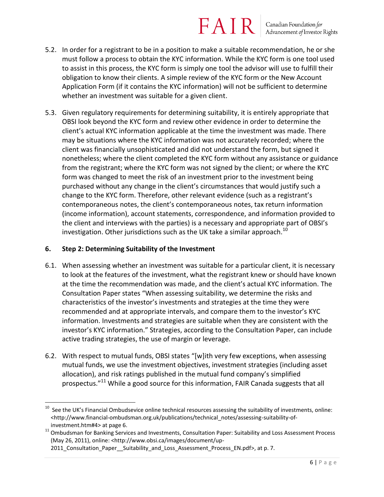Canadian Foundation for Advancement of Investor Rights

- 5.2. In order for a registrant to be in a position to make a suitable recommendation, he or she must follow a process to obtain the KYC information. While the KYC form is one tool used to assist in this process, the KYC form is simply one tool the advisor will use to fulfill their obligation to know their clients. A simple review of the KYC form or the New Account Application Form (if it contains the KYC information) will not be sufficient to determine whether an investment was suitable for a given client.
- 5.3. Given regulatory requirements for determining suitability, it is entirely appropriate that OBSI look beyond the KYC form and review other evidence in order to determine the client's actual KYC information applicable at the time the investment was made. There may be situations where the KYC information was not accurately recorded; where the client was financially unsophisticated and did not understand the form, but signed it nonetheless; where the client completed the KYC form without any assistance or guidance from the registrant; where the KYC form was not signed by the client; or where the KYC form was changed to meet the risk of an investment prior to the investment being purchased without any change in the client's circumstances that would justify such a change to the KYC form. Therefore, other relevant evidence (such as a registrant's contemporaneous notes, the client's contemporaneous notes, tax return information (income information), account statements, correspondence, and information provided to the client and interviews with the parties) is a necessary and appropriate part of OBSI's investigation. Other jurisdictions such as the UK take a similar approach.<sup>10</sup>

#### **6. Step 2: Determining Suitability of the Investment**

 $\overline{a}$ 

- 6.1. When assessing whether an investment was suitable for a particular client, it is necessary to look at the features of the investment, what the registrant knew or should have known at the time the recommendation was made, and the client's actual KYC information. The Consultation Paper states "When assessing suitability, we determine the risks and characteristics of the investor's investments and strategies at the time they were recommended and at appropriate intervals, and compare them to the investor's KYC information. Investments and strategies are suitable when they are consistent with the investor's KYC information." Strategies, according to the Consultation Paper, can include active trading strategies, the use of margin or leverage.
- 6.2. With respect to mutual funds, OBSI states "[w]ith very few exceptions, when assessing mutual funds, we use the investment objectives, investment strategies (including asset allocation), and risk ratings published in the mutual fund company's simplified prospectus."<sup>11</sup> While a good source for this information, FAIR Canada suggests that all

<sup>10</sup> See the UK's Financial Ombudsevice online technical resources assessing the suitability of investments, online: [<http://www.financial-ombudsman.org.uk/publications/technical\\_notes/assessing-suitability-of](http://www.financial-ombudsman.org.uk/publications/technical_notes/assessing-suitability-of-investment.htm#4)[investment.htm#4>](http://www.financial-ombudsman.org.uk/publications/technical_notes/assessing-suitability-of-investment.htm#4) at page 6.

<sup>11</sup> Ombudsman for Banking Services and Investments, Consultation Paper: Suitability and Loss Assessment Process (May 26, 2011), online: <http://www.obsi.ca/images/document/up-

<sup>2011</sup> Consultation Paper Suitability and Loss Assessment Process EN.pdf>, at p. 7.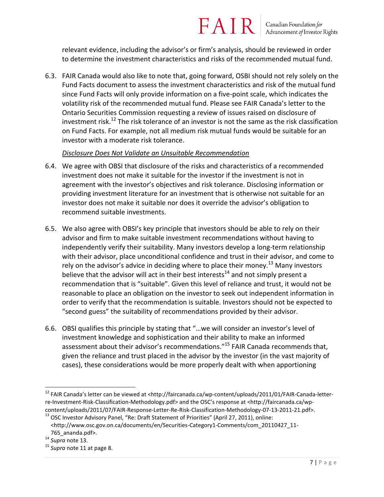relevant evidence, including the advisor's or firm's analysis, should be reviewed in order to determine the investment characteristics and risks of the recommended mutual fund.

FAIR

6.3. FAIR Canada would also like to note that, going forward, OSBI should not rely solely on the Fund Facts document to assess the investment characteristics and risk of the mutual fund since Fund Facts will only provide information on a five-point scale, which indicates the volatility risk of the recommended mutual fund. Please see FAIR Canada's letter to the Ontario Securities Commission requesting a review of issues raised on disclosure of investment risk.<sup>12</sup> The risk tolerance of an investor is not the same as the risk classification on Fund Facts. For example, not all medium risk mutual funds would be suitable for an investor with a moderate risk tolerance.

#### *Disclosure Does Not Validate an Unsuitable Recommendation*

- 6.4. We agree with OBSI that disclosure of the risks and characteristics of a recommended investment does not make it suitable for the investor if the investment is not in agreement with the investor's objectives and risk tolerance. Disclosing information or providing investment literature for an investment that is otherwise not suitable for an investor does not make it suitable nor does it override the advisor's obligation to recommend suitable investments.
- 6.5. We also agree with OBSI's key principle that investors should be able to rely on their advisor and firm to make suitable investment recommendations without having to independently verify their suitability. Many investors develop a long-term relationship with their advisor, place unconditional confidence and trust in their advisor, and come to rely on the advisor's advice in deciding where to place their money.<sup>13</sup> Many investors believe that the advisor will act in their best interests<sup>14</sup> and not simply present a recommendation that is "suitable". Given this level of reliance and trust, it would not be reasonable to place an obligation on the investor to seek out independent information in order to verify that the recommendation is suitable. Investors should not be expected to "second guess" the suitability of recommendations provided by their advisor.
- 6.6. OBSI qualifies this principle by stating that "…we will consider an investor's level of investment knowledge and sophistication and their ability to make an informed assessment about their advisor's recommendations."<sup>15</sup> FAIR Canada recommends that, given the reliance and trust placed in the advisor by the investor (in the vast majority of cases), these considerations would be more properly dealt with when apportioning

 $\overline{\phantom{a}}$ 

<sup>12</sup> FAIR Canada's letter can be viewed at <http://faircanada.ca/wp-content/uploads/2011/01/FAIR-Canada-letterre-Investment-Risk-Classification-Methodology.pdf> and the OSC's response at <http://faircanada.ca/wpcontent/uploads/2011/07/FAIR-Response-Letter-Re-Risk-Classification-Methodology-07-13-2011-21.pdf>. <sup>13</sup> OSC Investor Advisory Panel, "Re: Draft Statement of Priorities" (April 27, 2011), online:

<sup>&</sup>lt;http://www.osc.gov.on.ca/documents/en/Securities-Category1-Comments/com\_20110427\_11-765\_ananda.pdf>.

<sup>14</sup> *Supra* note 13.

<sup>15</sup> *Supra* note 11 at page 8.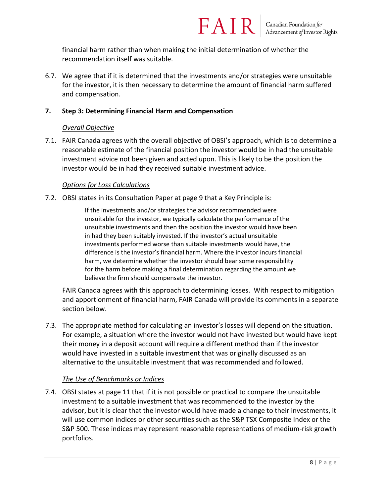financial harm rather than when making the initial determination of whether the recommendation itself was suitable.

6.7. We agree that if it is determined that the investments and/or strategies were unsuitable for the investor, it is then necessary to determine the amount of financial harm suffered and compensation.

#### **7. Step 3: Determining Financial Harm and Compensation**

#### *Overall Objective*

7.1. FAIR Canada agrees with the overall objective of OBSI's approach, which is to determine a reasonable estimate of the financial position the investor would be in had the unsuitable investment advice not been given and acted upon. This is likely to be the position the investor would be in had they received suitable investment advice.

#### *Options for Loss Calculations*

7.2. OBSI states in its Consultation Paper at page 9 that a Key Principle is:

If the investments and/or strategies the advisor recommended were unsuitable for the investor, we typically calculate the performance of the unsuitable investments and then the position the investor would have been in had they been suitably invested. If the investor's actual unsuitable investments performed worse than suitable investments would have, the difference is the investor's financial harm. Where the investor incurs financial harm, we determine whether the investor should bear some responsibility for the harm before making a final determination regarding the amount we believe the firm should compensate the investor.

FAIR Canada agrees with this approach to determining losses. With respect to mitigation and apportionment of financial harm, FAIR Canada will provide its comments in a separate section below.

7.3. The appropriate method for calculating an investor's losses will depend on the situation. For example, a situation where the investor would not have invested but would have kept their money in a deposit account will require a different method than if the investor would have invested in a suitable investment that was originally discussed as an alternative to the unsuitable investment that was recommended and followed.

#### *The Use of Benchmarks or Indices*

7.4. OBSI states at page 11 that if it is not possible or practical to compare the unsuitable investment to a suitable investment that was recommended to the investor by the advisor, but it is clear that the investor would have made a change to their investments, it will use common indices or other securities such as the S&P TSX Composite Index or the S&P 500. These indices may represent reasonable representations of medium-risk growth portfolios.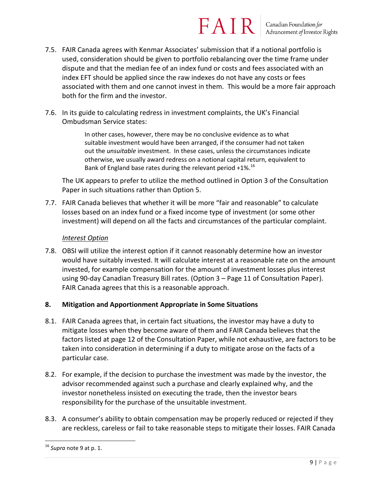### **FAIR** Canadian Foundation for

- 7.5. FAIR Canada agrees with Kenmar Associates' submission that if a notional portfolio is used, consideration should be given to portfolio rebalancing over the time frame under dispute and that the median fee of an index fund or costs and fees associated with an index EFT should be applied since the raw indexes do not have any costs or fees associated with them and one cannot invest in them. This would be a more fair approach both for the firm and the investor.
- 7.6. In its guide to calculating redress in investment complaints, the UK's Financial Ombudsman Service states:

In other cases, however, there may be no conclusive evidence as to what suitable investment would have been arranged, if the consumer had not taken out the *unsuitable* investment. In these cases, unless the circumstances indicate otherwise, we usually award redress on a notional capital return, equivalent to Bank of England base rates during the relevant period  $+1\%$ .<sup>16</sup>

The UK appears to prefer to utilize the method outlined in Option 3 of the Consultation Paper in such situations rather than Option 5.

7.7. FAIR Canada believes that whether it will be more "fair and reasonable" to calculate losses based on an index fund or a fixed income type of investment (or some other investment) will depend on all the facts and circumstances of the particular complaint.

#### *Interest Option*

7.8. OBSI will utilize the interest option if it cannot reasonably determine how an investor would have suitably invested. It will calculate interest at a reasonable rate on the amount invested, for example compensation for the amount of investment losses plus interest using 90-day Canadian Treasury Bill rates. (Option 3 – Page 11 of Consultation Paper). FAIR Canada agrees that this is a reasonable approach.

#### **8. Mitigation and Apportionment Appropriate in Some Situations**

- 8.1. FAIR Canada agrees that, in certain fact situations, the investor may have a duty to mitigate losses when they become aware of them and FAIR Canada believes that the factors listed at page 12 of the Consultation Paper, while not exhaustive, are factors to be taken into consideration in determining if a duty to mitigate arose on the facts of a particular case.
- 8.2. For example, if the decision to purchase the investment was made by the investor, the advisor recommended against such a purchase and clearly explained why, and the investor nonetheless insisted on executing the trade, then the investor bears responsibility for the purchase of the unsuitable investment.
- 8.3. A consumer's ability to obtain compensation may be properly reduced or rejected if they are reckless, careless or fail to take reasonable steps to mitigate their losses. FAIR Canada

 $\overline{\phantom{a}}$ <sup>16</sup> *Supra* note 9 at p. 1.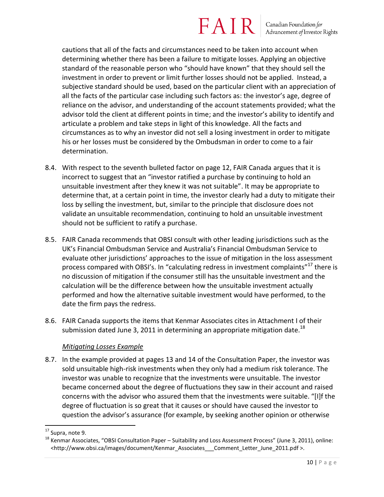Canadian Foundation for<br>Advancement of Investor Rights

cautions that all of the facts and circumstances need to be taken into account when determining whether there has been a failure to mitigate losses. Applying an objective standard of the reasonable person who "should have known" that they should sell the investment in order to prevent or limit further losses should not be applied. Instead, a subjective standard should be used, based on the particular client with an appreciation of all the facts of the particular case including such factors as: the investor's age, degree of reliance on the advisor, and understanding of the account statements provided; what the advisor told the client at different points in time; and the investor's ability to identify and articulate a problem and take steps in light of this knowledge. All the facts and circumstances as to why an investor did not sell a losing investment in order to mitigate his or her losses must be considered by the Ombudsman in order to come to a fair determination.

- 8.4. With respect to the seventh bulleted factor on page 12, FAIR Canada argues that it is incorrect to suggest that an "investor ratified a purchase by continuing to hold an unsuitable investment after they knew it was not suitable". It may be appropriate to determine that, at a certain point in time, the investor clearly had a duty to mitigate their loss by selling the investment, but, similar to the principle that disclosure does not validate an unsuitable recommendation, continuing to hold an unsuitable investment should not be sufficient to ratify a purchase.
- 8.5. FAIR Canada recommends that OBSI consult with other leading jurisdictions such as the UK's Financial Ombudsman Service and Australia's Financial Ombudsman Service to evaluate other jurisdictions' approaches to the issue of mitigation in the loss assessment process compared with OBSI's. In "calculating redress in investment complaints"<sup>17</sup> there is no discussion of mitigation if the consumer still has the unsuitable investment and the calculation will be the difference between how the unsuitable investment actually performed and how the alternative suitable investment would have performed, to the date the firm pays the redress.
- 8.6. FAIR Canada supports the items that Kenmar Associates cites in Attachment I of their submission dated June 3, 2011 in determining an appropriate mitigation date.<sup>18</sup>

#### *Mitigating Losses Example*

8.7. In the example provided at pages 13 and 14 of the Consultation Paper, the investor was sold unsuitable high-risk investments when they only had a medium risk tolerance. The investor was unable to recognize that the investments were unsuitable. The investor became concerned about the degree of fluctuations they saw in their account and raised concerns with the advisor who assured them that the investments were suitable. "[I]f the degree of fluctuation is so great that it causes or should have caused the investor to question the advisor's assurance (for example, by seeking another opinion or otherwise

 $\overline{\phantom{a}}$ <sup>17</sup> Supra, note 9.

 $18$  Kenmar Associates, "OBSI Consultation Paper – Suitability and Loss Assessment Process" (June 3, 2011), online: <http://www.obsi.ca/images/document/Kenmar\_Associates Comment\_Letter\_June\_2011.pdf >.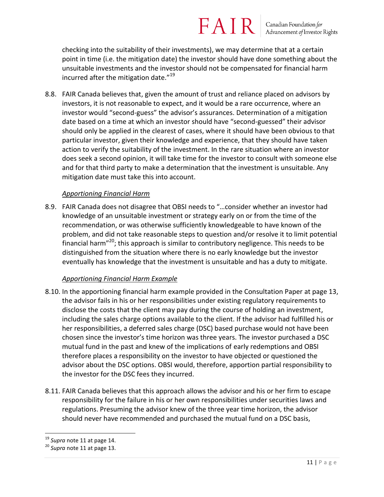Canadian Foundation for<br>Advancement of Investor Rights

checking into the suitability of their investments), we may determine that at a certain point in time (i.e. the mitigation date) the investor should have done something about the unsuitable investments and the investor should not be compensated for financial harm incurred after the mitigation date."<sup>19</sup>

8.8. FAIR Canada believes that, given the amount of trust and reliance placed on advisors by investors, it is not reasonable to expect, and it would be a rare occurrence, where an investor would "second-guess" the advisor's assurances. Determination of a mitigation date based on a time at which an investor should have "second-guessed" their advisor should only be applied in the clearest of cases, where it should have been obvious to that particular investor, given their knowledge and experience, that they should have taken action to verify the suitability of the investment. In the rare situation where an investor does seek a second opinion, it will take time for the investor to consult with someone else and for that third party to make a determination that the investment is unsuitable. Any mitigation date must take this into account.

#### *Apportioning Financial Harm*

8.9. FAIR Canada does not disagree that OBSI needs to "…consider whether an investor had knowledge of an unsuitable investment or strategy early on or from the time of the recommendation, or was otherwise sufficiently knowledgeable to have known of the problem, and did not take reasonable steps to question and/or resolve it to limit potential financial harm"<sup>20</sup>; this approach is similar to contributory negligence. This needs to be distinguished from the situation where there is no early knowledge but the investor eventually has knowledge that the investment is unsuitable and has a duty to mitigate.

#### *Apportioning Financial Harm Example*

- 8.10. In the apportioning financial harm example provided in the Consultation Paper at page 13, the advisor fails in his or her responsibilities under existing regulatory requirements to disclose the costs that the client may pay during the course of holding an investment, including the sales charge options available to the client. If the advisor had fulfilled his or her responsibilities, a deferred sales charge (DSC) based purchase would not have been chosen since the investor's time horizon was three years. The investor purchased a DSC mutual fund in the past and knew of the implications of early redemptions and OBSI therefore places a responsibility on the investor to have objected or questioned the advisor about the DSC options. OBSI would, therefore, apportion partial responsibility to the investor for the DSC fees they incurred.
- 8.11. FAIR Canada believes that this approach allows the advisor and his or her firm to escape responsibility for the failure in his or her own responsibilities under securities laws and regulations. Presuming the advisor knew of the three year time horizon, the advisor should never have recommended and purchased the mutual fund on a DSC basis,

l <sup>19</sup> *Supra* note 11 at page 14.

<sup>20</sup> *Supra* note 11 at page 13.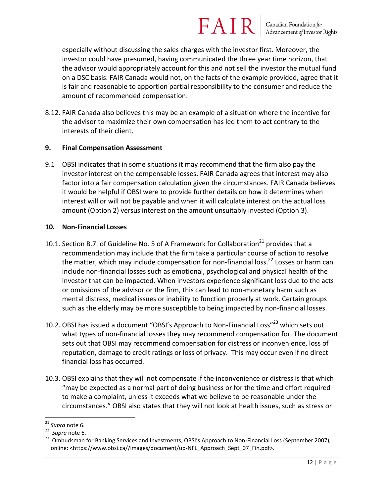especially without discussing the sales charges with the investor first. Moreover, the investor could have presumed, having communicated the three year time horizon, that the advisor would appropriately account for this and not sell the investor the mutual fund on a DSC basis. FAIR Canada would not, on the facts of the example provided, agree that it is fair and reasonable to apportion partial responsibility to the consumer and reduce the amount of recommended compensation.

8.12. FAIR Canada also believes this may be an example of a situation where the incentive for the advisor to maximize their own compensation has led them to act contrary to the interests of their client.

#### **9. Final Compensation Assessment**

9.1 OBSI indicates that in some situations it may recommend that the firm also pay the investor interest on the compensable losses. FAIR Canada agrees that interest may also factor into a fair compensation calculation given the circumstances. FAIR Canada believes it would be helpful if OBSI were to provide further details on how it determines when interest will or will not be payable and when it will calculate interest on the actual loss amount (Option 2) versus interest on the amount unsuitably invested (Option 3).

#### **10. Non-Financial Losses**

- 10.1. Section B.7. of Guideline No. 5 of A Framework for Collaboration<sup>21</sup> provides that a recommendation may include that the firm take a particular course of action to resolve the matter, which may include compensation for non-financial loss.<sup>22</sup> Losses or harm can include non-financial losses such as emotional, psychological and physical health of the investor that can be impacted. When investors experience significant loss due to the acts or omissions of the advisor or the firm, this can lead to non-monetary harm such as mental distress, medical issues or inability to function properly at work. Certain groups such as the elderly may be more susceptible to being impacted by non-financial losses.
- 10.2. OBSI has issued a document "OBSI's Approach to Non-Financial Loss"<sup>23</sup> which sets out what types of non-financial losses they may recommend compensation for. The document sets out that OBSI may recommend compensation for distress or inconvenience, loss of reputation, damage to credit ratings or loss of privacy. This may occur even if no direct financial loss has occurred.
- 10.3. OBSI explains that they will not compensate if the inconvenience or distress is that which "may be expected as a normal part of doing business or for the time and effort required to make a complaint, unless it exceeds what we believe to be reasonable under the circumstances." OBSI also states that they will not look at health issues, such as stress or

 $\overline{a}$ <sup>21</sup> *Supra* note 6.

<sup>22</sup> *Supra* note 6.

<sup>&</sup>lt;sup>23</sup> Ombudsman for Banking Services and Investments, OBSI's Approach to Non-Financial Loss (September 2007), online: [<https://www.obsi.ca//images/document/up-NFL\\_Approach\\_Sept\\_07\\_Fin.pdf>](https://www.obsi.ca/images/document/up-NFL_Approach_Sept_07_Fin.pdf).